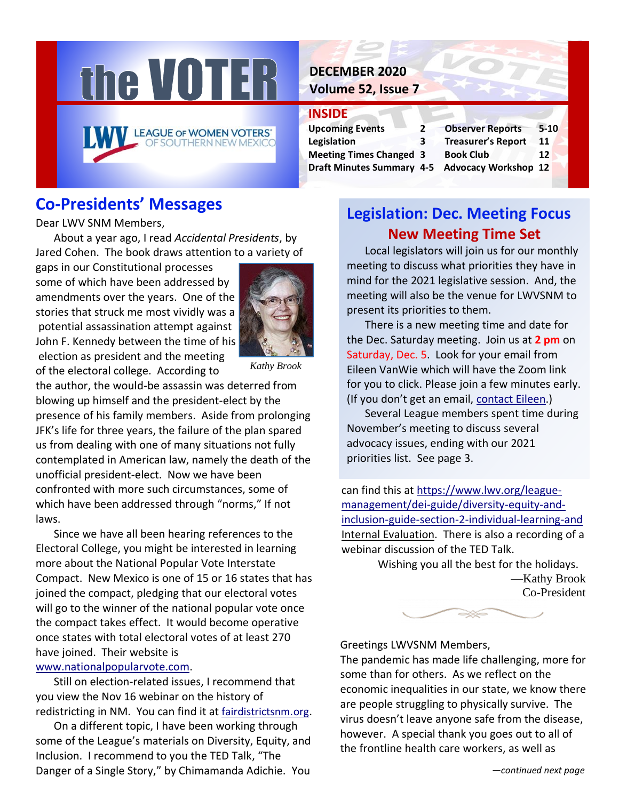

## **DECEMBER 2020 Volume 52, Issue 7**

## **INSIDE**

| <b>Upcoming Events</b>                         | 2 | <b>Observer Reports</b>   | $5 - 10$ |  |
|------------------------------------------------|---|---------------------------|----------|--|
| Legislation                                    | 3 | <b>Treasurer's Report</b> | 11       |  |
| <b>Meeting Times Changed 3</b>                 |   | <b>Book Club</b>          | 12       |  |
| Draft Minutes Summary 4-5 Advocacy Workshop 12 |   |                           |          |  |
|                                                |   |                           |          |  |

| Treasurer's Report   | 11 |  |
|----------------------|----|--|
| Book Club            | 12 |  |
| Advocacy Workshop 12 |    |  |
|                      |    |  |

# **Co-Presidents' Messages**

Dear LWV SNM Members,

About a year ago, I read *Accidental Presidents*, by Jared Cohen. The book draws attention to a variety of

gaps in our Constitutional processes some of which have been addressed by amendments over the years. One of the stories that struck me most vividly was a potential assassination attempt against John F. Kennedy between the time of his election as president and the meeting of the electoral college. According to



*Kathy Brook*

the author, the would-be assassin was deterred from blowing up himself and the president-elect by the presence of his family members. Aside from prolonging JFK's life for three years, the failure of the plan spared us from dealing with one of many situations not fully contemplated in American law, namely the death of the unofficial president-elect. Now we have been confronted with more such circumstances, some of which have been addressed through "norms," If not laws.

Since we have all been hearing references to the Electoral College, you might be interested in learning more about the National Popular Vote Interstate Compact. New Mexico is one of 15 or 16 states that has joined the compact, pledging that our electoral votes will go to the winner of the national popular vote once the compact takes effect. It would become operative once states with total electoral votes of at least 270 have joined. Their website is

#### [www.nationalpopularvote.com.](http://www.nationalpopularvote.com/)

Still on election-related issues, I recommend that you view the Nov 16 webinar on the history of redistricting in NM. You can find it at [fairdistrictsnm.org](http://www.fairdistrictsnm.org/).

On a different topic, I have been working through some of the League's materials on Diversity, Equity, and Inclusion. I recommend to you the TED Talk, "The Danger of a Single Story," by Chimamanda Adichie. You

# **Legislation: Dec. Meeting Focus New Meeting Time Set**

Local legislators will join us for our monthly meeting to discuss what priorities they have in mind for the 2021 legislative session. And, the meeting will also be the venue for LWVSNM to present its priorities to them.

There is a new meeting time and date for the Dec. Saturday meeting. Join us at **2 pm** on Saturday, Dec. 5. Look for your email from Eileen VanWie which will have the Zoom link for you to click. Please join a few minutes early. (If you don't get an email, [contact Eileen.](mailto:vanwieek@yahoo.com?subject=Zoom%20Invite))

Several League members spent time during November's meeting to discuss several advocacy issues, ending with our 2021 priorities list. See page 3.

can find this at [https://www.lwv.org/league](https://www.lwv.org/league-management/dei-guide/diversity-equity-and-inclusion-guide-section-2-individual-learning-and)[management/dei-guide/diversity-equity-and](https://www.lwv.org/league-management/dei-guide/diversity-equity-and-inclusion-guide-section-2-individual-learning-and)[inclusion-guide-section-2-individual-learning-and](https://www.lwv.org/league-management/dei-guide/diversity-equity-and-inclusion-guide-section-2-individual-learning-and) Internal Evaluation. There is also a recording of a webinar discussion of the TED Talk.

> Wishing you all the best for the holidays. —Kathy Brook Co-President



## Greetings LWVSNM Members,

The pandemic has made life challenging, more for some than for others. As we reflect on the economic inequalities in our state, we know there are people struggling to physically survive. The virus doesn't leave anyone safe from the disease, however. A special thank you goes out to all of the frontline health care workers, as well as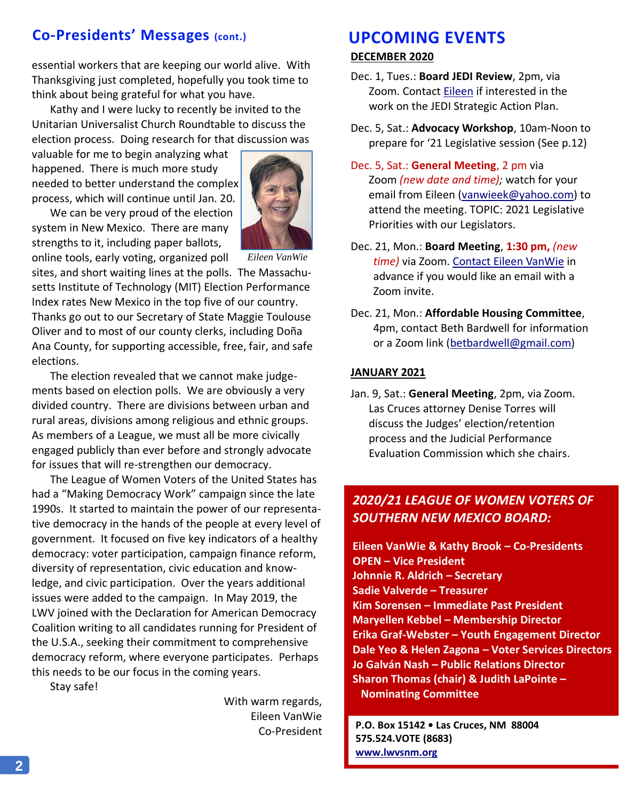# **Co-Presidents' Messages (cont.)**

essential workers that are keeping our world alive. With Thanksgiving just completed, hopefully you took time to think about being grateful for what you have.

Kathy and I were lucky to recently be invited to the Unitarian Universalist Church Roundtable to discuss the election process. Doing research for that discussion was

valuable for me to begin analyzing what happened. There is much more study needed to better understand the complex process, which will continue until Jan. 20.

We can be very proud of the election system in New Mexico. There are many strengths to it, including paper ballots,



online tools, early voting, organized poll

*Eileen VanWie*

sites, and short waiting lines at the polls. The Massachusetts Institute of Technology (MIT) Election Performance Index rates New Mexico in the top five of our country. Thanks go out to our Secretary of State Maggie Toulouse Oliver and to most of our county clerks, including Doña Ana County, for supporting accessible, free, fair, and safe elections.

The election revealed that we cannot make judgements based on election polls. We are obviously a very divided country. There are divisions between urban and rural areas, divisions among religious and ethnic groups. As members of a League, we must all be more civically engaged publicly than ever before and strongly advocate for issues that will re-strengthen our democracy.

The League of Women Voters of the United States has had a "Making Democracy Work" campaign since the late 1990s. It started to maintain the power of our representative democracy in the hands of the people at every level of government. It focused on five key indicators of a healthy democracy: voter participation, campaign finance reform, diversity of representation, civic education and knowledge, and civic participation. Over the years additional issues were added to the campaign. In May 2019, the LWV joined with the Declaration for American Democracy Coalition writing to all candidates running for President of the U.S.A., seeking their commitment to comprehensive democracy reform, where everyone participates. Perhaps this needs to be our focus in the coming years.

Stay safe!

With warm regards, Eileen VanWie Co-President

# **UPCOMING EVENTS**

#### **DECEMBER 2020**

- Dec. 1, Tues.: **Board JEDI Review**, 2pm, via Zoom. Contact [Eileen](mailto:vanwieek@yahoo.com) if interested in the work on the JEDI Strategic Action Plan.
- Dec. 5, Sat.: **Advocacy Workshop**, 10am-Noon to prepare for '21 Legislative session (See p.12)
- Dec. 5, Sat.: **General Meeting**, 2 pm via Zoom *(new date and time);* watch for your email from Eileen [\(vanwieek@yahoo.com\)](mailto:vanwieek@yahoo.com) to attend the meeting. TOPIC: 2021 Legislative Priorities with our Legislators.
- Dec. 21, Mon.: **Board Meeting**, **1:30 pm,** *(new time)* via Zoom. [Contact Eileen VanWie](mailto:vanwieek@yahoo.com) in advance if you would like an email with a Zoom invite.
- Dec. 21, Mon.: **Affordable Housing Committee**, 4pm, contact Beth Bardwell for information or a Zoom link [\(betbardwell@gmail.com\)](mailto:betbardwell@gmail.com)

#### **JANUARY 2021**

Jan. 9, Sat.: **General Meeting**, 2pm, via Zoom. Las Cruces attorney Denise Torres will discuss the Judges' election/retention process and the Judicial Performance Evaluation Commission which she chairs.

## *2020/21 LEAGUE OF WOMEN VOTERS OF SOUTHERN NEW MEXICO BOARD:*

**Eileen VanWie & Kathy Brook – Co-Presidents OPEN – Vice President Johnnie R. Aldrich – Secretary Sadie Valverde – Treasurer Kim Sorensen – Immediate Past President Maryellen Kebbel – Membership Director Erika Graf-Webster – Youth Engagement Director Dale Yeo & Helen Zagona – Voter Services Directors Jo Galván Nash – Public Relations Director Sharon Thomas (chair) & Judith LaPointe – Nominating Committee**

**P.O. Box 15142 • Las Cruces, NM 88004 575.524.VOTE (8683) [www.lwvsnm.org](http://www.lwvsnm.org/)**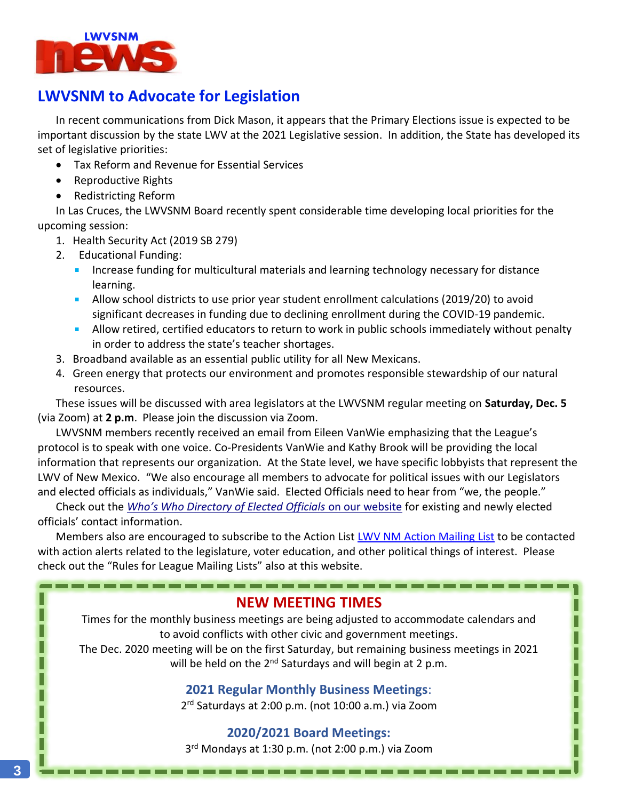

# **LWVSNM to Advocate for Legislation**

In recent communications from Dick Mason, it appears that the Primary Elections issue is expected to be important discussion by the state LWV at the 2021 Legislative session. In addition, the State has developed its set of legislative priorities:

- Tax Reform and Revenue for Essential Services
- Reproductive Rights
- Redistricting Reform

In Las Cruces, the LWVSNM Board recently spent considerable time developing local priorities for the upcoming session:

- 1. Health Security Act (2019 SB 279)
- 2. Educational Funding:
	- Increase funding for multicultural materials and learning technology necessary for distance learning.
	- Allow school districts to use prior year student enrollment calculations (2019/20) to avoid significant decreases in funding due to declining enrollment during the COVID-19 pandemic.
	- **Allow retired, certified educators to return to work in public schools immediately without penalty** in order to address the state's teacher shortages.
- 3. Broadband available as an essential public utility for all New Mexicans.
- 4. Green energy that protects our environment and promotes responsible stewardship of our natural resources.

These issues will be discussed with area legislators at the LWVSNM regular meeting on **Saturday, Dec. 5** (via Zoom) at **2 p.m**. Please join the discussion via Zoom.

LWVSNM members recently received an email from Eileen VanWie emphasizing that the League's protocol is to speak with one voice. Co-Presidents VanWie and Kathy Brook will be providing the local information that represents our organization. At the State level, we have specific lobbyists that represent the LWV of New Mexico. "We also encourage all members to advocate for political issues with our Legislators and elected officials as individuals," VanWie said. Elected Officials need to hear from "we, the people."

Check out the *Who's Who [Directory of Elected Officials](https://www.lwvsnm.org/whos-who/)* on our website for existing and newly elected officials' contact information.

--------------------------------

Members also are encouraged to subscribe to the Action Lis[t LWV NM Action Mailing List](https://www.lwvnm.org/mailinglists.html) to be contacted with action alerts related to the legislature, voter education, and other political things of interest. Please check out the "Rules for League Mailing Lists" also at this website.

## **NEW MEETING TIMES**

Times for the monthly business meetings are being adjusted to accommodate calendars and to avoid conflicts with other civic and government meetings.

The Dec. 2020 meeting will be on the first Saturday, but remaining business meetings in 2021 will be held on the  $2^{nd}$  Saturdays and will begin at 2 p.m.

**2021 Regular Monthly Business Meetings**:

2 rd Saturdays at 2:00 p.m. (not 10:00 a.m.) via Zoom

# **2020/2021 Board Meetings:**

3 rd Mondays at 1:30 p.m. (not 2:00 p.m.) via Zoom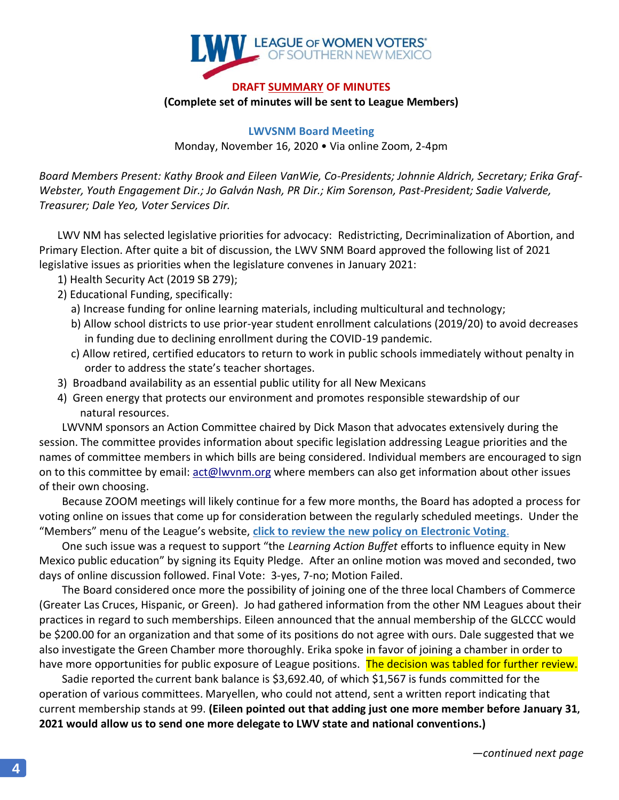

#### **DRAFT SUMMARY OF MINUTES (Complete set of minutes will be sent to League Members)**

**LWVSNM Board Meeting**

Monday, November 16, 2020 • Via online Zoom, 2-4pm

*Board Members Present: Kathy Brook and Eileen VanWie, Co-Presidents; Johnnie Aldrich, Secretary; Erika Graf-Webster, Youth Engagement Dir.; Jo Galván Nash, PR Dir.; Kim Sorenson, Past-President; Sadie Valverde, Treasurer; Dale Yeo, Voter Services Dir.*

LWV NM has selected legislative priorities for advocacy: Redistricting, Decriminalization of Abortion, and Primary Election. After quite a bit of discussion, the LWV SNM Board approved the following list of 2021 legislative issues as priorities when the legislature convenes in January 2021:

- 1) Health Security Act (2019 SB 279);
- 2) Educational Funding, specifically:
	- a) Increase funding for online learning materials, including multicultural and technology;
	- b) Allow school districts to use prior-year student enrollment calculations (2019/20) to avoid decreases in funding due to declining enrollment during the COVID-19 pandemic.
	- c) Allow retired, certified educators to return to work in public schools immediately without penalty in order to address the state's teacher shortages.
- 3) Broadband availability as an essential public utility for all New Mexicans
- 4) Green energy that protects our environment and promotes responsible stewardship of our natural resources.

LWVNM sponsors an Action Committee chaired by Dick Mason that advocates extensively during the session. The committee provides information about specific legislation addressing League priorities and the names of committee members in which bills are being considered. Individual members are encouraged to sign on to this committee by email: [act@lwvnm.org](mailto:act@lwvnm.org) where members can also get information about other issues of their own choosing.

Because ZOOM meetings will likely continue for a few more months, the Board has adopted a process for voting online on issues that come up for consideration between the regularly scheduled meetings. Under the "Members" menu of the League's website, **[click to review the new policy](https://www.lwvsnm.org/members/) on Electronic Voting**.

One such issue was a request to support "the *Learning Action Buffet* efforts to influence equity in New Mexico public education" by signing its Equity Pledge. After an online motion was moved and seconded, two days of online discussion followed. Final Vote: 3-yes, 7-no; Motion Failed.

The Board considered once more the possibility of joining one of the three local Chambers of Commerce (Greater Las Cruces, Hispanic, or Green). Jo had gathered information from the other NM Leagues about their practices in regard to such memberships. Eileen announced that the annual membership of the GLCCC would be \$200.00 for an organization and that some of its positions do not agree with ours. Dale suggested that we also investigate the Green Chamber more thoroughly. Erika spoke in favor of joining a chamber in order to have more opportunities for public exposure of League positions. The decision was tabled for further review.

Sadie reported the current bank balance is \$3,692.40, of which \$1,567 is funds committed for the operation of various committees. Maryellen, who could not attend, sent a written report indicating that current membership stands at 99. **(Eileen pointed out that adding just one more member before January 31, 2021 would allow us to send one more delegate to LWV state and national conventions.)**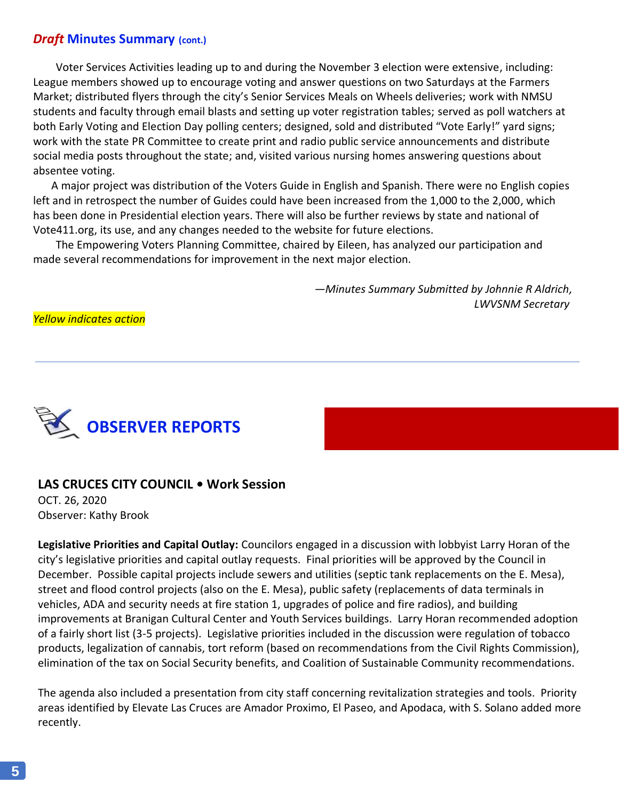## *Draft* **Minutes Summary (cont.)**

Voter Services Activities leading up to and during the November 3 election were extensive, including: League members showed up to encourage voting and answer questions on two Saturdays at the Farmers Market; distributed flyers through the city's Senior Services Meals on Wheels deliveries; work with NMSU students and faculty through email blasts and setting up voter registration tables; served as poll watchers at both Early Voting and Election Day polling centers; designed, sold and distributed "Vote Early!" yard signs; work with the state PR Committee to create print and radio public service announcements and distribute social media posts throughout the state; and, visited various nursing homes answering questions about absentee voting.

A major project was distribution of the Voters Guide in English and Spanish. There were no English copies left and in retrospect the number of Guides could have been increased from the 1,000 to the 2,000, which has been done in Presidential election years. There will also be further reviews by state and national of Vote411.org, its use, and any changes needed to the website for future elections.

The Empowering Voters Planning Committee, chaired by Eileen, has analyzed our participation and made several recommendations for improvement in the next major election.

> *—Minutes Summary Submitted by Johnnie R Aldrich, LWVSNM Secretary*

*Yellow indicates action*



#### **LAS CRUCES CITY COUNCIL • Work Session**

OCT. 26, 2020 Observer: Kathy Brook

**Legislative Priorities and Capital Outlay:** Councilors engaged in a discussion with lobbyist Larry Horan of the city's legislative priorities and capital outlay requests. Final priorities will be approved by the Council in December. Possible capital projects include sewers and utilities (septic tank replacements on the E. Mesa), street and flood control projects (also on the E. Mesa), public safety (replacements of data terminals in vehicles, ADA and security needs at fire station 1, upgrades of police and fire radios), and building improvements at Branigan Cultural Center and Youth Services buildings. Larry Horan recommended adoption of a fairly short list (3-5 projects). Legislative priorities included in the discussion were regulation of tobacco products, legalization of cannabis, tort reform (based on recommendations from the Civil Rights Commission), elimination of the tax on Social Security benefits, and Coalition of Sustainable Community recommendations.

The agenda also included a presentation from city staff concerning revitalization strategies and tools. Priority areas identified by Elevate Las Cruces are Amador Proximo, El Paseo, and Apodaca, with S. Solano added more recently.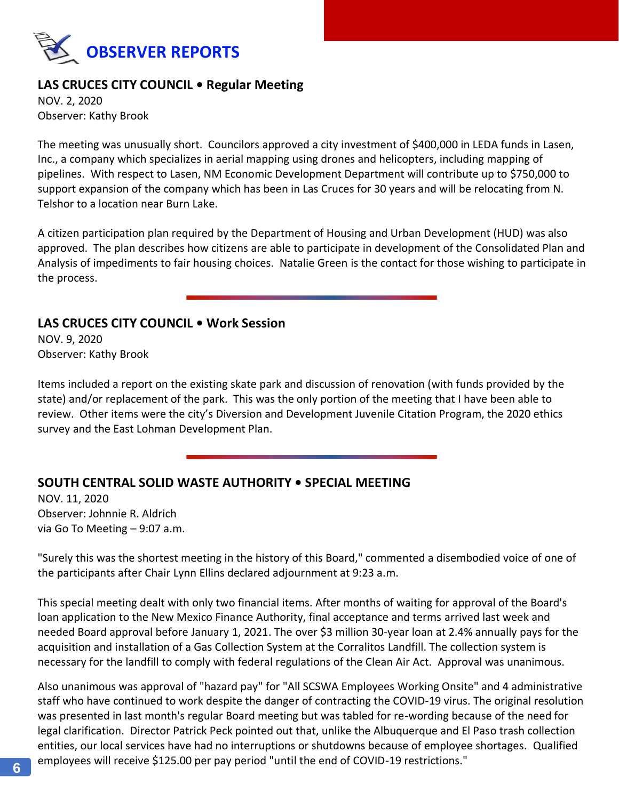

## **LAS CRUCES CITY COUNCIL • Regular Meeting**

NOV. 2, 2020 Observer: Kathy Brook

The meeting was unusually short. Councilors approved a city investment of \$400,000 in LEDA funds in Lasen, Inc., a company which specializes in aerial mapping using drones and helicopters, including mapping of pipelines. With respect to Lasen, NM Economic Development Department will contribute up to \$750,000 to support expansion of the company which has been in Las Cruces for 30 years and will be relocating from N. Telshor to a location near Burn Lake.

A citizen participation plan required by the Department of Housing and Urban Development (HUD) was also approved. The plan describes how citizens are able to participate in development of the Consolidated Plan and Analysis of impediments to fair housing choices. Natalie Green is the contact for those wishing to participate in the process.

#### **LAS CRUCES CITY COUNCIL • Work Session**

NOV. 9, 2020 Observer: Kathy Brook

Items included a report on the existing skate park and discussion of renovation (with funds provided by the state) and/or replacement of the park. This was the only portion of the meeting that I have been able to review. Other items were the city's Diversion and Development Juvenile Citation Program, the 2020 ethics survey and the East Lohman Development Plan.

## **SOUTH CENTRAL SOLID WASTE AUTHORITY • SPECIAL MEETING**

NOV. 11, 2020 Observer: Johnnie R. Aldrich via Go To Meeting – 9:07 a.m.

"Surely this was the shortest meeting in the history of this Board," commented a disembodied voice of one of the participants after Chair Lynn Ellins declared adjournment at 9:23 a.m.

This special meeting dealt with only two financial items. After months of waiting for approval of the Board's loan application to the New Mexico Finance Authority, final acceptance and terms arrived last week and needed Board approval before January 1, 2021. The over \$3 million 30-year loan at 2.4% annually pays for the acquisition and installation of a Gas Collection System at the Corralitos Landfill. The collection system is necessary for the landfill to comply with federal regulations of the Clean Air Act. Approval was unanimous.

Also unanimous was approval of "hazard pay" for "All SCSWA Employees Working Onsite" and 4 administrative staff who have continued to work despite the danger of contracting the COVID-19 virus. The original resolution was presented in last month's regular Board meeting but was tabled for re-wording because of the need for legal clarification. Director Patrick Peck pointed out that, unlike the Albuquerque and El Paso trash collection entities, our local services have had no interruptions or shutdowns because of employee shortages. Qualified employees will receive \$125.00 per pay period "until the end of COVID-19 restrictions."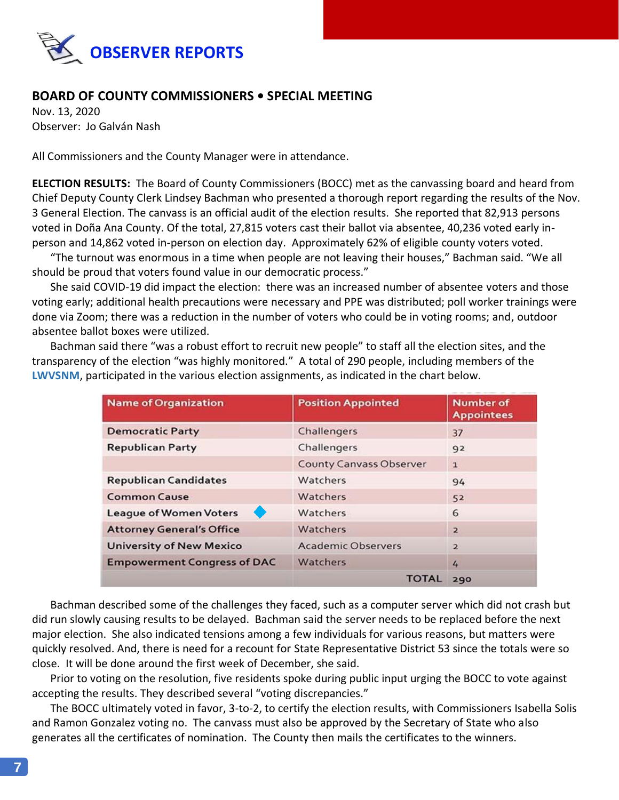

## **BOARD OF COUNTY COMMISSIONERS • SPECIAL MEETING**

Nov. 13, 2020 Observer: Jo Galván Nash

All Commissioners and the County Manager were in attendance.

**ELECTION RESULTS:** The Board of County Commissioners (BOCC) met as the canvassing board and heard from Chief Deputy County Clerk Lindsey Bachman who presented a thorough report regarding the results of the Nov. 3 General Election. The canvass is an official audit of the election results. She reported that 82,913 persons voted in Doña Ana County. Of the total, 27,815 voters cast their ballot via absentee, 40,236 voted early inperson and 14,862 voted in-person on election day. Approximately 62% of eligible county voters voted.

"The turnout was enormous in a time when people are not leaving their houses," Bachman said. "We all should be proud that voters found value in our democratic process."

She said COVID-19 did impact the election: there was an increased number of absentee voters and those voting early; additional health precautions were necessary and PPE was distributed; poll worker trainings were done via Zoom; there was a reduction in the number of voters who could be in voting rooms; and, outdoor absentee ballot boxes were utilized.

Bachman said there "was a robust effort to recruit new people" to staff all the election sites, and the transparency of the election "was highly monitored." A total of 290 people, including members of the **LWVSNM**, participated in the various election assignments, as indicated in the chart below.

| <b>Name of Organization</b>        | <b>Position Appointed</b>      | <b>Number of</b><br><b>Appointees</b> |  |
|------------------------------------|--------------------------------|---------------------------------------|--|
| <b>Democratic Party</b>            | Challengers                    | 37                                    |  |
| <b>Republican Party</b>            | Challengers                    | 92                                    |  |
|                                    | <b>County Canvass Observer</b> | $\mathbf{1}$                          |  |
| <b>Republican Candidates</b>       | Watchers                       | 94                                    |  |
| <b>Common Cause</b>                | Watchers                       | 52                                    |  |
| <b>League of Women Voters</b>      | Watchers                       | 6                                     |  |
| <b>Attorney General's Office</b>   | Watchers                       | $\overline{2}$                        |  |
| <b>University of New Mexico</b>    | <b>Academic Observers</b>      | $\overline{2}$                        |  |
| <b>Empowerment Congress of DAC</b> | Watchers                       | 4                                     |  |
|                                    | <b>TOTAL</b>                   | 290                                   |  |

Bachman described some of the challenges they faced, such as a computer server which did not crash but did run slowly causing results to be delayed. Bachman said the server needs to be replaced before the next major election. She also indicated tensions among a few individuals for various reasons, but matters were quickly resolved. And, there is need for a recount for State Representative District 53 since the totals were so close. It will be done around the first week of December, she said.

Prior to voting on the resolution, five residents spoke during public input urging the BOCC to vote against accepting the results. They described several "voting discrepancies."

The BOCC ultimately voted in favor, 3-to-2, to certify the election results, with Commissioners Isabella Solis and Ramon Gonzalez voting no. The canvass must also be approved by the Secretary of State who also generates all the certificates of nomination. The County then mails the certificates to the winners.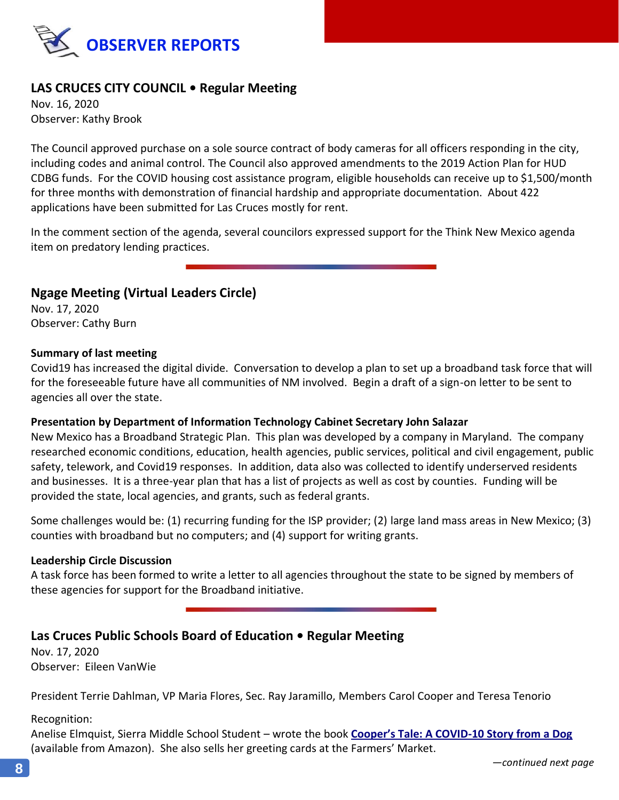

## **LAS CRUCES CITY COUNCIL • Regular Meeting**

Nov. 16, 2020 Observer: Kathy Brook

The Council approved purchase on a sole source contract of body cameras for all officers responding in the city, including codes and animal control. The Council also approved amendments to the 2019 Action Plan for HUD CDBG funds. For the COVID housing cost assistance program, eligible households can receive up to \$1,500/month for three months with demonstration of financial hardship and appropriate documentation. About 422 applications have been submitted for Las Cruces mostly for rent.

In the comment section of the agenda, several councilors expressed support for the Think New Mexico agenda item on predatory lending practices.

#### **Ngage Meeting (Virtual Leaders Circle)**

Nov. 17, 2020 Observer: Cathy Burn

#### **Summary of last meeting**

Covid19 has increased the digital divide. Conversation to develop a plan to set up a broadband task force that will for the foreseeable future have all communities of NM involved. Begin a draft of a sign-on letter to be sent to agencies all over the state.

#### **Presentation by Department of Information Technology Cabinet Secretary John Salazar**

New Mexico has a Broadband Strategic Plan. This plan was developed by a company in Maryland. The company researched economic conditions, education, health agencies, public services, political and civil engagement, public safety, telework, and Covid19 responses. In addition, data also was collected to identify underserved residents and businesses. It is a three-year plan that has a list of projects as well as cost by counties.Funding will be provided the state, local agencies, and grants, such as federal grants.

Some challenges would be: (1) recurring funding for the ISP provider; (2) large land mass areas in New Mexico; (3) counties with broadband but no computers; and (4) support for writing grants.

#### **Leadership Circle Discussion**

A task force has been formed to write a letter to all agencies throughout the state to be signed by members of these agencies for support for the Broadband initiative.

#### **Las Cruces Public Schools Board of Education • Regular Meeting**

Nov. 17, 2020 Observer: Eileen VanWie

President Terrie Dahlman, VP Maria Flores, Sec. Ray Jaramillo, Members Carol Cooper and Teresa Tenorio

Recognition:

Anelise Elmquist, Sierra Middle School Student – wrote the book **[Cooper's Tale: A COVID](https://www.amazon.com/Coopers-Tale-COVID-19-Story-Dog/dp/B08CPB4V6Q/ref=sr_1_1?dchild=1&keywords=cooper%27s+tale&qid=1606572194&s=books&sr=1-1)-10 Story from a Dog** (available from Amazon). She also sells her greeting cards at the Farmers' Market.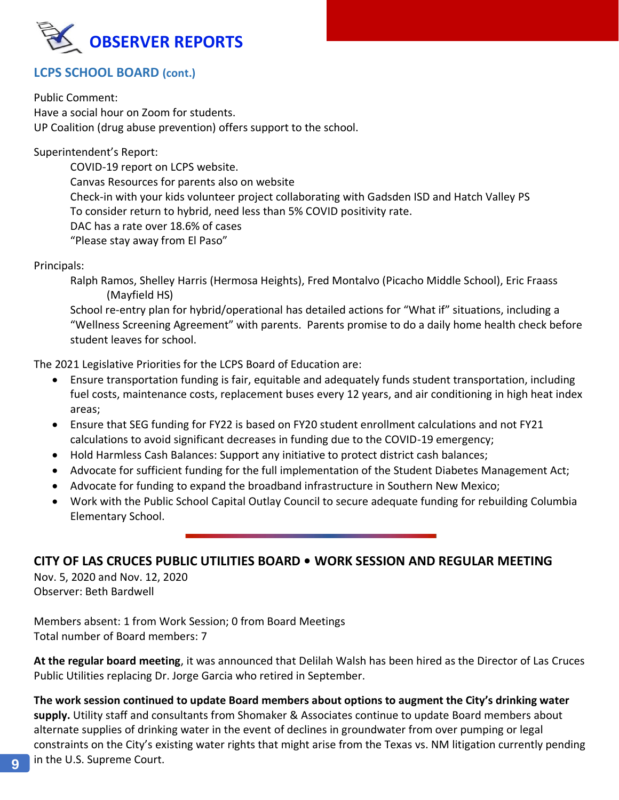

## **LCPS SCHOOL BOARD (cont.)**

Public Comment: Have a social hour on Zoom for students. UP Coalition (drug abuse prevention) offers support to the school.

Superintendent's Report:

COVID-19 report on LCPS website. Canvas Resources for parents also on website Check-in with your kids volunteer project collaborating with Gadsden ISD and Hatch Valley PS To consider return to hybrid, need less than 5% COVID positivity rate. DAC has a rate over 18.6% of cases "Please stay away from El Paso"

Principals:

Ralph Ramos, Shelley Harris (Hermosa Heights), Fred Montalvo (Picacho Middle School), Eric Fraass (Mayfield HS)

School re-entry plan for hybrid/operational has detailed actions for "What if" situations, including a "Wellness Screening Agreement" with parents. Parents promise to do a daily home health check before student leaves for school.

The 2021 Legislative Priorities for the LCPS Board of Education are:

- Ensure transportation funding is fair, equitable and adequately funds student transportation, including fuel costs, maintenance costs, replacement buses every 12 years, and air conditioning in high heat index areas;
- Ensure that SEG funding for FY22 is based on FY20 student enrollment calculations and not FY21 calculations to avoid significant decreases in funding due to the COVID-19 emergency;
- Hold Harmless Cash Balances: Support any initiative to protect district cash balances;
- Advocate for sufficient funding for the full implementation of the Student Diabetes Management Act;
- Advocate for funding to expand the broadband infrastructure in Southern New Mexico;
- Work with the Public School Capital Outlay Council to secure adequate funding for rebuilding Columbia Elementary School.

## **CITY OF LAS CRUCES PUBLIC UTILITIES BOARD • WORK SESSION AND REGULAR MEETING**

Nov. 5, 2020 and Nov. 12, 2020 Observer: Beth Bardwell

Members absent: 1 from Work Session; 0 from Board Meetings Total number of Board members: 7

**At the regular board meeting**, it was announced that Delilah Walsh has been hired as the Director of Las Cruces Public Utilities replacing Dr. Jorge Garcia who retired in September.

**The work session continued to update Board members about options to augment the City's drinking water supply.** Utility staff and consultants from Shomaker & Associates continue to update Board members about alternate supplies of drinking water in the event of declines in groundwater from over pumping or legal constraints on the City's existing water rights that might arise from the Texas vs. NM litigation currently pending **q** in the U.S. Supreme Court.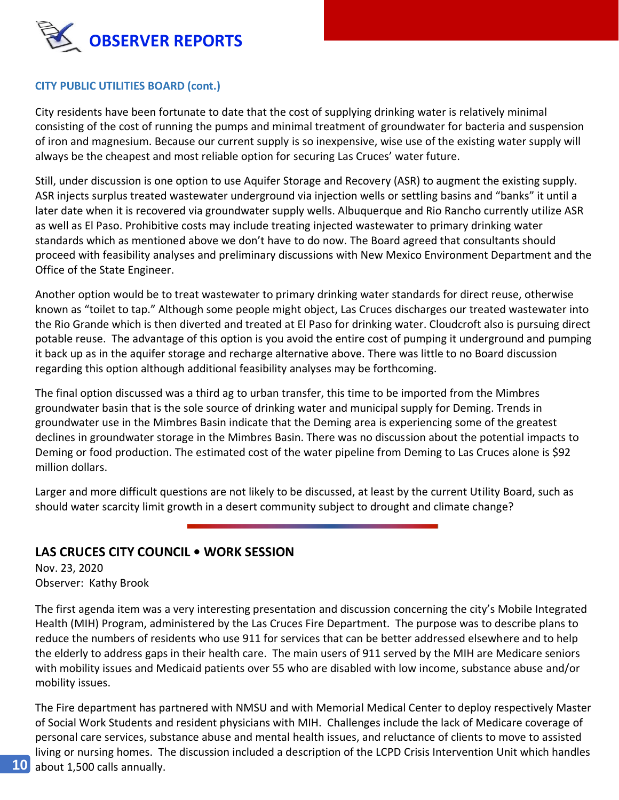

#### **CITY PUBLIC UTILITIES BOARD (cont.)**

City residents have been fortunate to date that the cost of supplying drinking water is relatively minimal consisting of the cost of running the pumps and minimal treatment of groundwater for bacteria and suspension of iron and magnesium. Because our current supply is so inexpensive, wise use of the existing water supply will always be the cheapest and most reliable option for securing Las Cruces' water future.

Still, under discussion is one option to use Aquifer Storage and Recovery (ASR) to augment the existing supply. ASR injects surplus treated wastewater underground via injection wells or settling basins and "banks" it until a later date when it is recovered via groundwater supply wells. Albuquerque and Rio Rancho currently utilize ASR as well as El Paso. Prohibitive costs may include treating injected wastewater to primary drinking water standards which as mentioned above we don't have to do now. The Board agreed that consultants should proceed with feasibility analyses and preliminary discussions with New Mexico Environment Department and the Office of the State Engineer.

Another option would be to treat wastewater to primary drinking water standards for direct reuse, otherwise known as "toilet to tap." Although some people might object, Las Cruces discharges our treated wastewater into the Rio Grande which is then diverted and treated at El Paso for drinking water. Cloudcroft also is pursuing direct potable reuse. The advantage of this option is you avoid the entire cost of pumping it underground and pumping it back up as in the aquifer storage and recharge alternative above. There was little to no Board discussion regarding this option although additional feasibility analyses may be forthcoming.

The final option discussed was a third ag to urban transfer, this time to be imported from the Mimbres groundwater basin that is the sole source of drinking water and municipal supply for Deming. Trends in groundwater use in the Mimbres Basin indicate that the Deming area is experiencing some of the greatest declines in groundwater storage in the Mimbres Basin. There was no discussion about the potential impacts to Deming or food production. The estimated cost of the water pipeline from Deming to Las Cruces alone is \$92 million dollars.

Larger and more difficult questions are not likely to be discussed, at least by the current Utility Board, such as should water scarcity limit growth in a desert community subject to drought and climate change?

## **LAS CRUCES CITY COUNCIL • WORK SESSION**

Nov. 23, 2020 Observer: Kathy Brook

The first agenda item was a very interesting presentation and discussion concerning the city's Mobile Integrated Health (MIH) Program, administered by the Las Cruces Fire Department. The purpose was to describe plans to reduce the numbers of residents who use 911 for services that can be better addressed elsewhere and to help the elderly to address gaps in their health care. The main users of 911 served by the MIH are Medicare seniors with mobility issues and Medicaid patients over 55 who are disabled with low income, substance abuse and/or mobility issues.

The Fire department has partnered with NMSU and with Memorial Medical Center to deploy respectively Master of Social Work Students and resident physicians with MIH. Challenges include the lack of Medicare coverage of personal care services, substance abuse and mental health issues, and reluctance of clients to move to assisted living or nursing homes. The discussion included a description of the LCPD Crisis Intervention Unit which handles about 1,500 calls annually.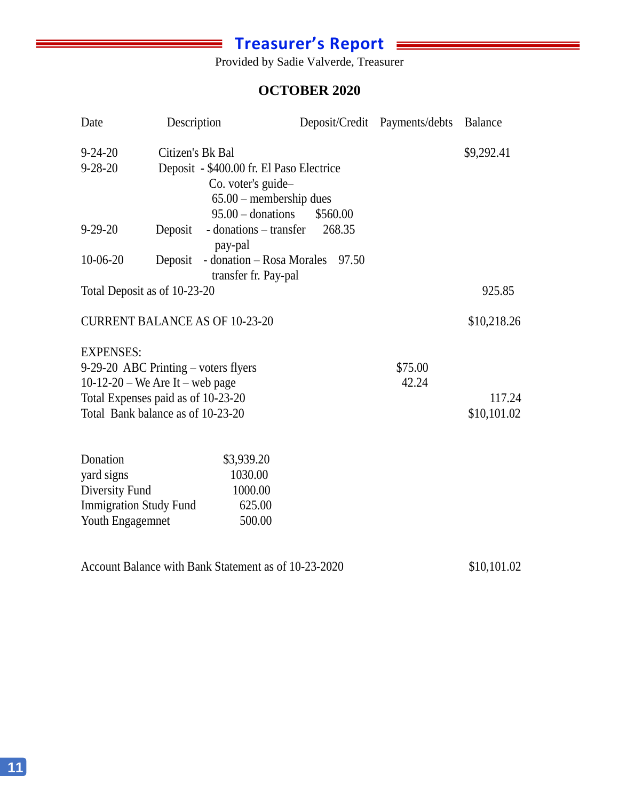# $\equiv$  Treasurer's Report  $\equiv$

Provided by Sadie Valverde, Treasurer

## **OCTOBER 2020** October 2020

| Date                                                                                          | Description                                                                                                |                                                                                                                    |          |       | Deposit/Credit Payments/debts Balance |                       |
|-----------------------------------------------------------------------------------------------|------------------------------------------------------------------------------------------------------------|--------------------------------------------------------------------------------------------------------------------|----------|-------|---------------------------------------|-----------------------|
| $9 - 24 - 20$<br>$9 - 28 - 20$                                                                | Citizen's Bk Bal                                                                                           | Deposit - \$400.00 fr. El Paso Electrice<br>Co. voter's guide-<br>$65.00$ – membership dues<br>$95.00$ – donations | \$560.00 |       |                                       | \$9,292.41            |
| $9 - 29 - 20$                                                                                 | Deposit                                                                                                    | - donations – transfer<br>pay-pal                                                                                  | 268.35   |       |                                       |                       |
| $10-06-20$                                                                                    | Deposit                                                                                                    | - donation – Rosa Morales<br>transfer fr. Pay-pal                                                                  |          | 97.50 |                                       |                       |
| Total Deposit as of 10-23-20                                                                  |                                                                                                            |                                                                                                                    |          |       |                                       | 925.85                |
| <b>CURRENT BALANCE AS OF 10-23-20</b>                                                         |                                                                                                            |                                                                                                                    |          |       |                                       | \$10,218.26           |
| <b>EXPENSES:</b><br>9-29-20 ABC Printing – voters flyers                                      | 10-12-20 – We Are It – web page<br>Total Expenses paid as of 10-23-20<br>Total Bank balance as of 10-23-20 |                                                                                                                    |          |       | \$75.00<br>42.24                      | 117.24<br>\$10,101.02 |
| Donation<br>yard signs<br>Diversity Fund<br><b>Immigration Study Fund</b><br>Youth Engagemnet |                                                                                                            | \$3,939.20<br>1030.00<br>1000.00<br>625.00<br>500.00                                                               |          |       |                                       |                       |

Account Balance with Bank Statement as of 10-23-2020 \$10,101.02